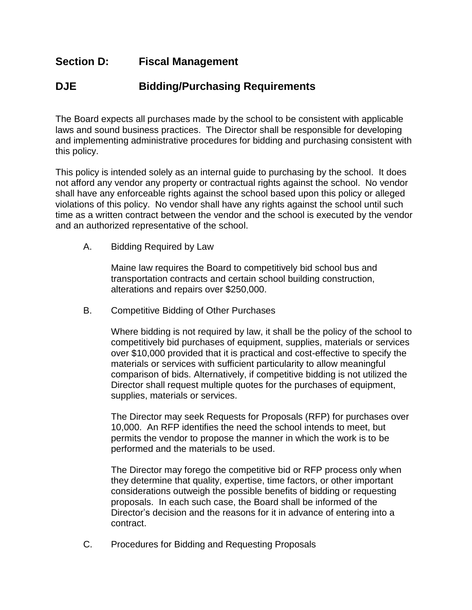## **Section D: Fiscal Management**

## **DJE Bidding/Purchasing Requirements**

The Board expects all purchases made by the school to be consistent with applicable laws and sound business practices. The Director shall be responsible for developing and implementing administrative procedures for bidding and purchasing consistent with this policy.

This policy is intended solely as an internal guide to purchasing by the school. It does not afford any vendor any property or contractual rights against the school. No vendor shall have any enforceable rights against the school based upon this policy or alleged violations of this policy. No vendor shall have any rights against the school until such time as a written contract between the vendor and the school is executed by the vendor and an authorized representative of the school.

A. Bidding Required by Law

Maine law requires the Board to competitively bid school bus and transportation contracts and certain school building construction, alterations and repairs over \$250,000.

B. Competitive Bidding of Other Purchases

Where bidding is not required by law, it shall be the policy of the school to competitively bid purchases of equipment, supplies, materials or services over \$10,000 provided that it is practical and cost-effective to specify the materials or services with sufficient particularity to allow meaningful comparison of bids. Alternatively, if competitive bidding is not utilized the Director shall request multiple quotes for the purchases of equipment, supplies, materials or services.

The Director may seek Requests for Proposals (RFP) for purchases over 10,000. An RFP identifies the need the school intends to meet, but permits the vendor to propose the manner in which the work is to be performed and the materials to be used.

The Director may forego the competitive bid or RFP process only when they determine that quality, expertise, time factors, or other important considerations outweigh the possible benefits of bidding or requesting proposals. In each such case, the Board shall be informed of the Director's decision and the reasons for it in advance of entering into a contract.

C. Procedures for Bidding and Requesting Proposals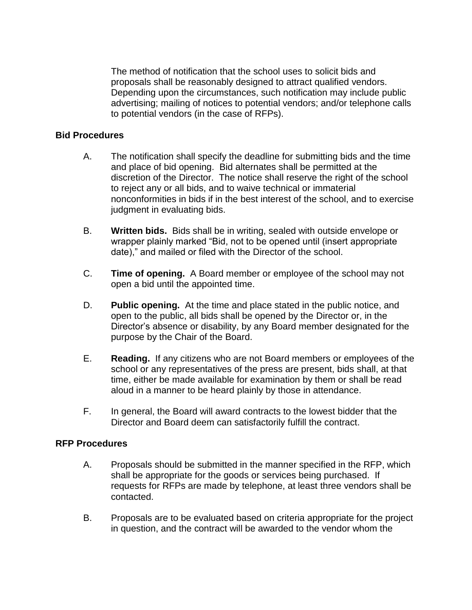The method of notification that the school uses to solicit bids and proposals shall be reasonably designed to attract qualified vendors. Depending upon the circumstances, such notification may include public advertising; mailing of notices to potential vendors; and/or telephone calls to potential vendors (in the case of RFPs).

## **Bid Procedures**

- A. The notification shall specify the deadline for submitting bids and the time and place of bid opening. Bid alternates shall be permitted at the discretion of the Director. The notice shall reserve the right of the school to reject any or all bids, and to waive technical or immaterial nonconformities in bids if in the best interest of the school, and to exercise judgment in evaluating bids.
- B. **Written bids.** Bids shall be in writing, sealed with outside envelope or wrapper plainly marked "Bid, not to be opened until (insert appropriate date)," and mailed or filed with the Director of the school.
- C. **Time of opening.** A Board member or employee of the school may not open a bid until the appointed time.
- D. **Public opening.** At the time and place stated in the public notice, and open to the public, all bids shall be opened by the Director or, in the Director's absence or disability, by any Board member designated for the purpose by the Chair of the Board.
- E. **Reading.** If any citizens who are not Board members or employees of the school or any representatives of the press are present, bids shall, at that time, either be made available for examination by them or shall be read aloud in a manner to be heard plainly by those in attendance.
- F. In general, the Board will award contracts to the lowest bidder that the Director and Board deem can satisfactorily fulfill the contract.

## **RFP Procedures**

- A. Proposals should be submitted in the manner specified in the RFP, which shall be appropriate for the goods or services being purchased. If requests for RFPs are made by telephone, at least three vendors shall be contacted.
- B. Proposals are to be evaluated based on criteria appropriate for the project in question, and the contract will be awarded to the vendor whom the